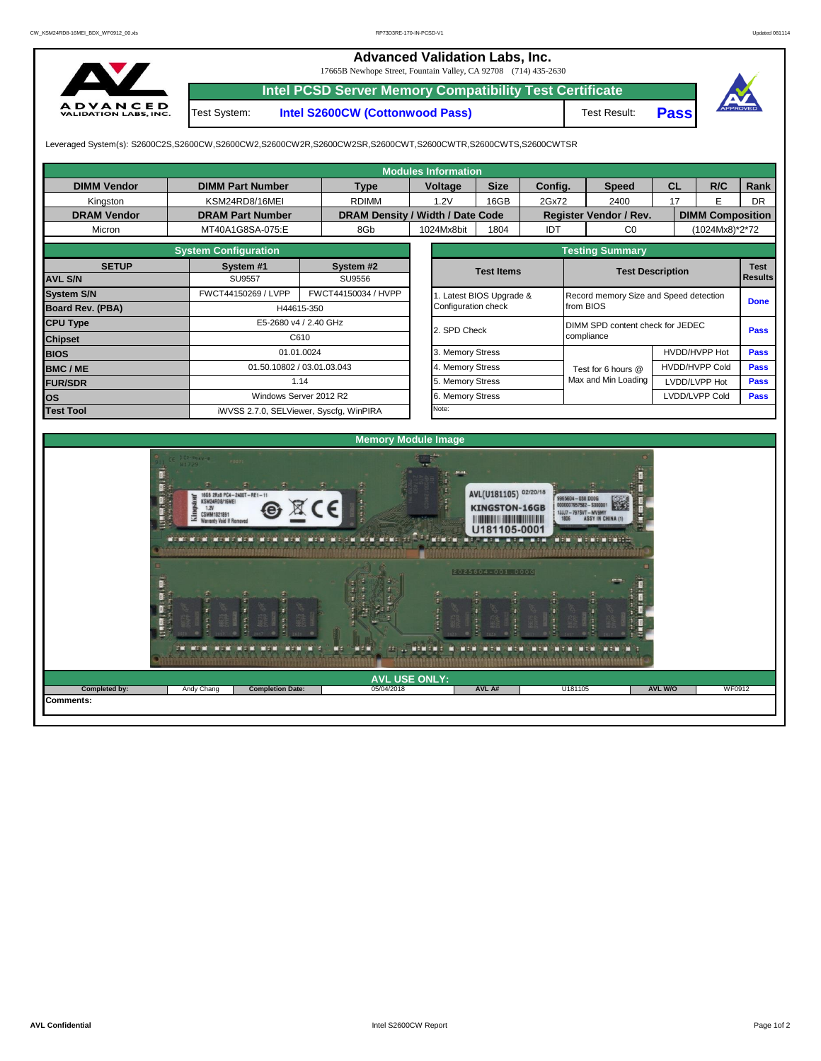## **Advanced Validation Labs, Inc.**

17665B Newhope Street, Fountain Valley, CA 92708 (714) 435-2630



**Intel PCSD Server Memory Compatibility Test Certificate** Test System: **Intel S2600CW (Cottonwood Pass)**

Test Result: **Pass**



Leveraged System(s): S2600C2S,S2600CW,S2600CW2,S2600CW2R,S2600CW2SR,S2600CWT,S2600CWTR,S2600CWTS,S2600CWTSR

|                            |                                                                                                                                                   |                                         | <b>Modules Information</b>               |                                                                                          |                                          |                                                                                                  |                         |                         |                |  |  |  |
|----------------------------|---------------------------------------------------------------------------------------------------------------------------------------------------|-----------------------------------------|------------------------------------------|------------------------------------------------------------------------------------------|------------------------------------------|--------------------------------------------------------------------------------------------------|-------------------------|-------------------------|----------------|--|--|--|
| <b>DIMM Vendor</b>         | <b>DIMM Part Number</b>                                                                                                                           | <b>Type</b>                             | Voltage                                  | <b>Size</b>                                                                              | Config.                                  | <b>Speed</b>                                                                                     | <b>CL</b>               | R/C                     | Rank           |  |  |  |
| Kingston                   | KSM24RD8/16MEI                                                                                                                                    | <b>RDIMM</b>                            | 1.2V                                     | 16GB                                                                                     | 2Gx72                                    | 2400                                                                                             | 17                      | E                       | <b>DR</b>      |  |  |  |
| <b>DRAM Vendor</b>         | <b>DRAM Part Number</b>                                                                                                                           |                                         | DRAM Density / Width / Date Code         |                                                                                          |                                          | Register Vendor / Rev.                                                                           |                         | <b>DIMM Composition</b> |                |  |  |  |
| Micron                     | MT40A1G8SA-075:E                                                                                                                                  | 8Gb                                     | 1024Mx8bit                               | 1804                                                                                     | IDT                                      | CO                                                                                               |                         | (1024Mx8)*2*72          |                |  |  |  |
|                            | <b>System Configuration</b>                                                                                                                       |                                         |                                          |                                                                                          |                                          | <b>Testing Summary</b>                                                                           |                         |                         |                |  |  |  |
| <b>SETUP</b>               | System #1                                                                                                                                         | System #2                               |                                          | <b>Test Items</b>                                                                        |                                          |                                                                                                  | <b>Test Description</b> | <b>Test</b>             |                |  |  |  |
| <b>AVL S/N</b>             | <b>SU9557</b>                                                                                                                                     | SU9556                                  |                                          |                                                                                          |                                          |                                                                                                  |                         |                         | <b>Results</b> |  |  |  |
| <b>System S/N</b>          | FWCT44150269 / LVPP                                                                                                                               | FWCT44150034 / HVPP                     | 1. Latest BIOS Upgrade &                 |                                                                                          | Record memory Size and Speed detection   |                                                                                                  | <b>Done</b>             |                         |                |  |  |  |
| Board Rev. (PBA)           |                                                                                                                                                   | H44615-350                              | Configuration check                      |                                                                                          |                                          | from BIOS                                                                                        |                         |                         |                |  |  |  |
| <b>CPU Type</b>            |                                                                                                                                                   | E5-2680 v4 / 2.40 GHz                   |                                          | DIMM SPD content check for JEDEC<br>2. SPD Check                                         |                                          |                                                                                                  |                         |                         |                |  |  |  |
| <b>Chipset</b>             |                                                                                                                                                   | C610                                    |                                          |                                                                                          |                                          | compliance                                                                                       |                         |                         | <b>Pass</b>    |  |  |  |
| <b>BIOS</b>                |                                                                                                                                                   | 01.01.0024                              | 3. Memory Stress                         |                                                                                          |                                          |                                                                                                  |                         | HVDD/HVPP Hot           | <b>Pass</b>    |  |  |  |
| <b>BMC/ME</b>              |                                                                                                                                                   | 01.50.10802 / 03.01.03.043              | 4. Memory Stress                         |                                                                                          |                                          | Test for 6 hours @                                                                               |                         | <b>HVDD/HVPP Cold</b>   | Pass           |  |  |  |
| <b>FUR/SDR</b>             |                                                                                                                                                   | 1.14                                    | 5. Memory Stress                         |                                                                                          |                                          | Max and Min Loading                                                                              | LVDD/LVPP Hot           | <b>Pass</b>             |                |  |  |  |
| <b>os</b>                  |                                                                                                                                                   | Windows Server 2012 R2                  | 6. Memory Stress                         |                                                                                          |                                          | LVDD/LVPP Cold                                                                                   | <b>Pass</b>             |                         |                |  |  |  |
| <b>Test Tool</b>           |                                                                                                                                                   | iWVSS 2.7.0, SELViewer, Syscfq, WinPIRA | Note:                                    |                                                                                          |                                          |                                                                                                  |                         |                         |                |  |  |  |
|                            | 16GB 2Rx8 PC4-2400T-RE1-11<br>KSM24RD8/16MEI<br>1.2V<br><b>CSMM1821891</b><br>Warranty Void If Remove<br><b>MEND MEN MENDENCH MEN MEND</b><br>nen | MEM MECH MEM MEMERIT<br>ME N            | <b>LANGER COM</b><br><b>NEWERE &amp;</b> | AVL(U181105) 02/20/18<br><b>KINGSTON-16GB</b><br>U181105-0001<br>2025604-001.D00G<br>man | $M_{1}$ 2 ( $M_{1}$<br><b>NEM</b><br>man | 9965604 - 038.000G<br>0000007957582 - \$000001<br>11117-7978VT-MV9MY<br><b>NEW YORK THE REAL</b> |                         |                         |                |  |  |  |
|                            |                                                                                                                                                   |                                         | <b>AVL USE ONLY:</b>                     |                                                                                          |                                          |                                                                                                  |                         |                         |                |  |  |  |
| Completed by:<br>Comments: | <b>Completion Date:</b><br>Andy Chang                                                                                                             | 05/04/2018                              |                                          | AVL A#                                                                                   |                                          | U181105                                                                                          | <b>AVL W/O</b>          | WF0912                  |                |  |  |  |